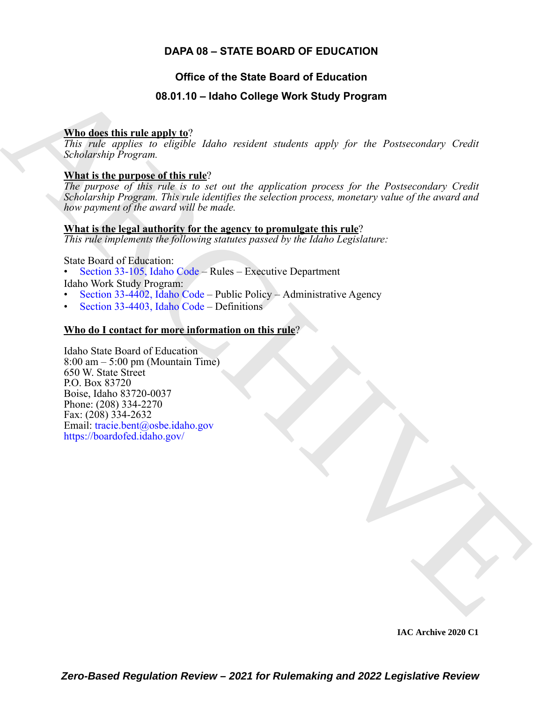# **DAPA 08 – STATE BOARD OF EDUCATION**

# **Office of the State Board of Education**

# **08.01.10 – Idaho College Work Study Program**

## **Who does this rule apply to**?

*This rule applies to eligible Idaho resident students apply for the Postsecondary Credit Scholarship Program.*

## **What is the purpose of this rule**?

*The purpose of this rule is to set out the application process for the Postsecondary Credit Scholarship Program. This rule identifies the selection process, monetary value of the award and how payment of the award will be made.*

# **What is the legal authority for the agency to promulgate this rule**?

*This rule implements the following statutes passed by the Idaho Legislature:*

State Board of Education:

• Section 33-105, Idaho Code – Rules – Executive Department

Idaho Work Study Program:

- Section 33-4402, Idaho Code Public Policy Administrative Agency
- Section 33-4403, Idaho Code Definitions

## **Who do I contact for more information on this rule**?

<span id="page-0-0"></span>**08.01.10 – Identify [C](https://legislature.idaho.gov/statutesrules/idstat/Title33/T33CH44/SECT33-4402/)onstraints and AT ACT (1)**<br>
This disc this rule and v  $\Omega^2$ <br>
This case explicit is angle to resident students experience of the Protecondary Credit<br>
Scholarship Program.<br>
What is the correction of t Idaho State Board of Education 8:00 am – 5:00 pm (Mountain Time) 650 W. State Street P.O. Box 83720 Boise, Idaho 83720-0037 Phone: (208) 334-2270 Fax: (208) 334-2632 Email: tracie.bent@osbe.idaho.gov https://boardofed.idaho.gov/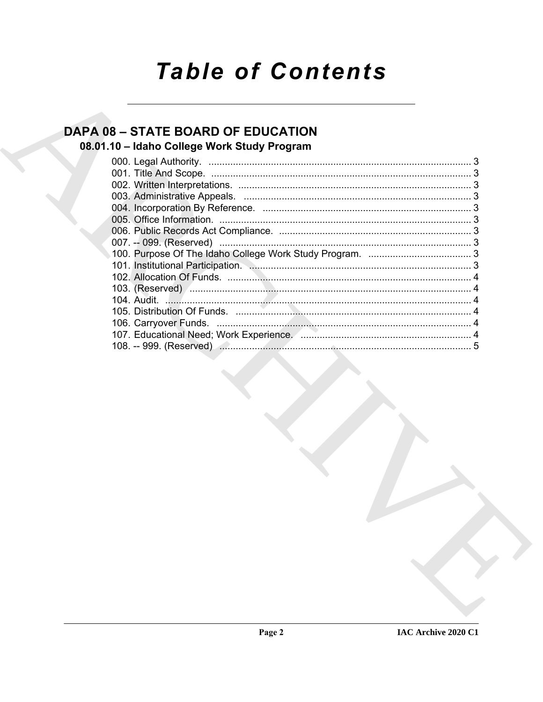# **Table of Contents**

# **DAPA 08 - STATE BOARD OF EDUCATION**

# 08.01.10 - Idaho College Work Study Program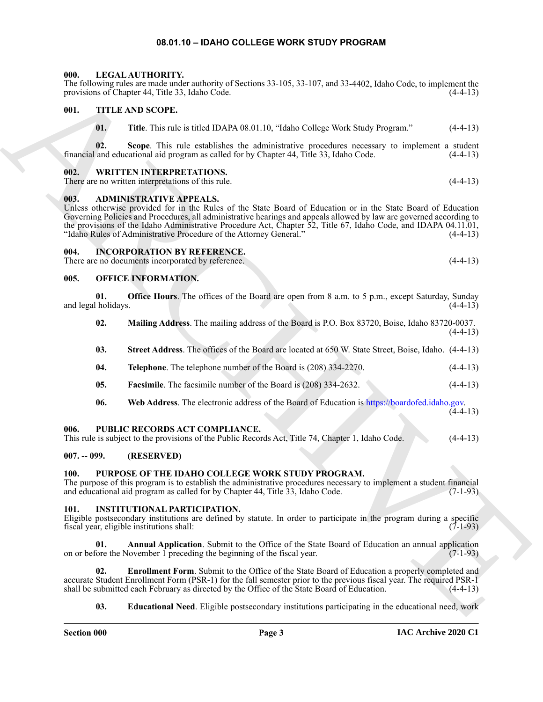#### **08.01.10 – IDAHO COLLEGE WORK STUDY PROGRAM**

#### <span id="page-2-17"></span><span id="page-2-1"></span><span id="page-2-0"></span>**000. LEGAL AUTHORITY.**

#### <span id="page-2-21"></span><span id="page-2-2"></span>**001. TITLE AND SCOPE.**

#### <span id="page-2-22"></span><span id="page-2-3"></span>**002. WRITTEN INTERPRETATIONS.**

#### <span id="page-2-11"></span><span id="page-2-4"></span>**003. ADMINISTRATIVE APPEALS.**

#### <span id="page-2-12"></span><span id="page-2-5"></span>**004. INCORPORATION BY REFERENCE.**

#### <span id="page-2-18"></span><span id="page-2-6"></span>**005. OFFICE INFORMATION.**

|  |               |                            | The following rules are made under authority of Sections 33-105, 33-107, and 33-4402, Idaho Code, to implement the<br>provisions of Chapter 44, Title 33, Idaho Code.                                                                                                                                                                                                                                                                                           | $(4-4-13)$ |
|--|---------------|----------------------------|-----------------------------------------------------------------------------------------------------------------------------------------------------------------------------------------------------------------------------------------------------------------------------------------------------------------------------------------------------------------------------------------------------------------------------------------------------------------|------------|
|  | 001.          |                            | TITLE AND SCOPE.                                                                                                                                                                                                                                                                                                                                                                                                                                                |            |
|  |               | 01.                        | Title. This rule is titled IDAPA 08.01.10, "Idaho College Work Study Program."                                                                                                                                                                                                                                                                                                                                                                                  | $(4-4-13)$ |
|  |               | 02.                        | Scope. This rule establishes the administrative procedures necessary to implement a student<br>financial and educational aid program as called for by Chapter 44, Title 33, Idaho Code.                                                                                                                                                                                                                                                                         | $(4-4-13)$ |
|  | 002.          |                            | <b>WRITTEN INTERPRETATIONS.</b><br>There are no written interpretations of this rule.                                                                                                                                                                                                                                                                                                                                                                           | $(4-4-13)$ |
|  | 003.          |                            | <b>ADMINISTRATIVE APPEALS.</b><br>Unless otherwise provided for in the Rules of the State Board of Education or in the State Board of Education<br>Governing Policies and Procedures, all administrative hearings and appeals allowed by law are governed according to<br>the provisions of the Idaho Administrative Procedure Act, Chapter 52, Title 67, Idaho Code, and IDAPA 04.11.01,<br>"Idaho Rules of Administrative Procedure of the Attorney General." | $(4-4-13)$ |
|  | 004.          |                            | <b>INCORPORATION BY REFERENCE.</b><br>There are no documents incorporated by reference.                                                                                                                                                                                                                                                                                                                                                                         | $(4-4-13)$ |
|  | 005.          |                            | <b>OFFICE INFORMATION.</b>                                                                                                                                                                                                                                                                                                                                                                                                                                      |            |
|  |               | 01.<br>and legal holidays. | <b>Office Hours</b> . The offices of the Board are open from 8 a.m. to 5 p.m., except Saturday, Sunday                                                                                                                                                                                                                                                                                                                                                          | $(4-4-13)$ |
|  |               | 02.                        | Mailing Address. The mailing address of the Board is P.O. Box 83720, Boise, Idaho 83720-0037.                                                                                                                                                                                                                                                                                                                                                                   | $(4-4-13)$ |
|  |               | 03.                        | Street Address. The offices of the Board are located at 650 W. State Street, Boise, Idaho. (4-4-13)                                                                                                                                                                                                                                                                                                                                                             |            |
|  |               | 04.                        | Telephone. The telephone number of the Board is (208) 334-2270.                                                                                                                                                                                                                                                                                                                                                                                                 | $(4-4-13)$ |
|  |               | 05.                        | <b>Facsimile.</b> The facsimile number of the Board is (208) 334-2632.                                                                                                                                                                                                                                                                                                                                                                                          | $(4-4-13)$ |
|  |               | 06.                        | Web Address. The electronic address of the Board of Education is https://boardofed.idaho.gov.                                                                                                                                                                                                                                                                                                                                                                   | $(4-4-13)$ |
|  | 006.          |                            | PUBLIC RECORDS ACT COMPLIANCE.<br>This rule is subject to the provisions of the Public Records Act, Title 74, Chapter 1, Idaho Code.                                                                                                                                                                                                                                                                                                                            | $(4-4-13)$ |
|  | $007. - 099.$ |                            | (RESERVED)                                                                                                                                                                                                                                                                                                                                                                                                                                                      |            |
|  | <b>100.</b>   |                            | PURPOSE OF THE IDAHO COLLEGE WORK STUDY PROGRAM.<br>The purpose of this program is to establish the administrative procedures necessary to implement a student financial<br>and educational aid program as called for by Chapter 44, Title 33, Idaho Code.                                                                                                                                                                                                      | $(7-1-93)$ |
|  | 101.          |                            | INSTITUTIONAL PARTICIPATION.<br>Eligible postsecondary institutions are defined by statute. In order to participate in the program during a specific<br>fiscal year, eligible institutions shall:                                                                                                                                                                                                                                                               | $(7-1-93)$ |
|  |               | 01.                        | Annual Application. Submit to the Office of the State Board of Education an annual application<br>on or before the November 1 preceding the beginning of the fiscal year.                                                                                                                                                                                                                                                                                       | $(7-1-93)$ |
|  |               | 02.                        | <b>Enrollment Form.</b> Submit to the Office of the State Board of Education a properly completed and<br>accurate Student Enrollment Form (PSR-1) for the fall semester prior to the previous fiscal year. The required PSR-1<br>shall be submitted each February as directed by the Office of the State Board of Education.                                                                                                                                    | $(4-4-13)$ |
|  |               | 03.                        | <b>Educational Need.</b> Eligible postsecondary institutions participating in the educational need, work                                                                                                                                                                                                                                                                                                                                                        |            |

#### <span id="page-2-19"></span><span id="page-2-8"></span><span id="page-2-7"></span>**007. -- 099. (RESERVED)**

#### <span id="page-2-20"></span><span id="page-2-9"></span>**100. PURPOSE OF THE IDAHO COLLEGE WORK STUDY PROGRAM.**

#### <span id="page-2-16"></span><span id="page-2-15"></span><span id="page-2-14"></span><span id="page-2-13"></span><span id="page-2-10"></span>**101. INSTITUTIONAL PARTICIPATION.**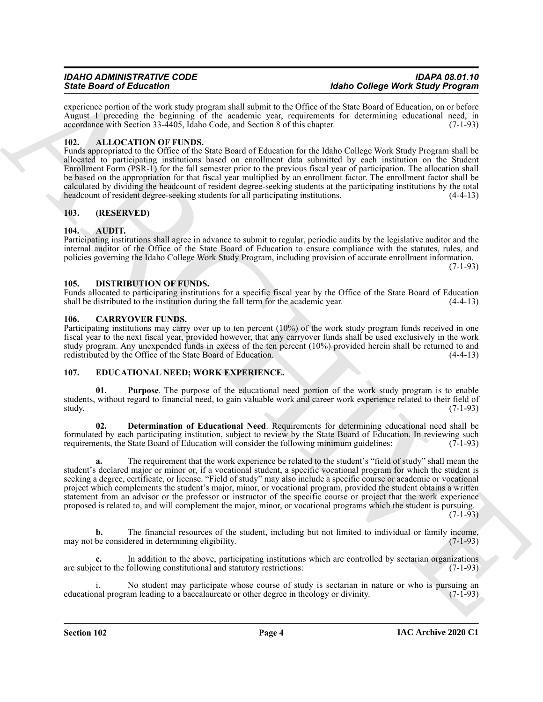experience portion of the work study program shall submit to the Office of the State Board of Education, on or before August 1 preceding the beginning of the academic year, requirements for determining educational need, in accordance with Section 33-4405, Idaho Code, and Section 8 of this chapter. (7-1-93) accordance with Section 33-4405, Idaho Code, and Section 8 of this chapter.

#### <span id="page-3-6"></span><span id="page-3-0"></span>**102. ALLOCATION OF FUNDS.**

Funds appropriated to the Office of the State Board of Education for the Idaho College Work Study Program shall be allocated to participating institutions based on enrollment data submitted by each institution on the Student Enrollment Form (PSR-1) for the fall semester prior to the previous fiscal year of participation. The allocation shall be based on the appropriation for that fiscal year multiplied by an enrollment factor. The enrollment factor shall be calculated by dividing the headcount of resident degree-seeking students at the participating institutions by the total headcount of resident degree-seeking students for all participating institutions. (4-4-13)

### <span id="page-3-1"></span>**103. (RESERVED)**

#### <span id="page-3-7"></span><span id="page-3-2"></span>**104. AUDIT.**

Participating institutions shall agree in advance to submit to regular, periodic audits by the legislative auditor and the internal auditor of the Office of the State Board of Education to ensure compliance with the statutes, rules, and policies governing the Idaho College Work Study Program, including provision of accurate enrollment information.

(7-1-93)

#### <span id="page-3-9"></span><span id="page-3-3"></span>**105. DISTRIBUTION OF FUNDS.**

Funds allocated to participating institutions for a specific fiscal year by the Office of the State Board of Education shall be distributed to the institution during the fall term for the academic year. (4-4-13)

#### <span id="page-3-8"></span><span id="page-3-4"></span>**106. CARRYOVER FUNDS.**

Participating institutions may carry over up to ten percent (10%) of the work study program funds received in one fiscal year to the next fiscal year, provided however, that any carryover funds shall be used exclusively in the work study program. Any unexpended funds in excess of the ten percent  $(10%)$  provided herein shall be returned to and redistributed by the Office of the State Board of Education. (4-4-13)

#### <span id="page-3-10"></span><span id="page-3-5"></span>**107. EDUCATIONAL NEED; WORK EXPERIENCE.**

<span id="page-3-12"></span>**01. Purpose**. The purpose of the educational need portion of the work study program is to enable students, without regard to financial need, to gain valuable work and career work experience related to their field of study. (7-1-93) study.  $(7-1-93)$ 

<span id="page-3-11"></span>**02. Determination of Educational Need**. Requirements for determining educational need shall be formulated by each participating institution, subject to review by the State Board of Education. In reviewing such requirements, the State Board of Education will consider the following minimum guidelines: (7-1-93) requirements, the State Board of Education will consider the following minimum guidelines:

Since Book of Editorios Control is the control of the Control of the Control of the Control of the Control of the Control of the Control of the Control of the Control of the Control of the Control of the Control of the Co **a.** The requirement that the work experience be related to the student's "field of study" shall mean the student's declared major or minor or, if a vocational student, a specific vocational program for which the student is seeking a degree, certificate, or license. "Field of study" may also include a specific course or academic or vocational project which complements the student's major, minor, or vocational program, provided the student obtains a written statement from an advisor or the professor or instructor of the specific course or project that the work experience proposed is related to, and will complement the major, minor, or vocational programs which the student is pursuing.  $(7-1-93)$ 

**b.** The financial resources of the student, including but not limited to individual or family income, be considered in determining eligibility. (7-1-93) may not be considered in determining eligibility.

In addition to the above, participating institutions which are controlled by sectarian organizations following constitutional and statutory restrictions: (7-1-93) are subject to the following constitutional and statutory restrictions:

i. No student may participate whose course of study is sectarian in nature or who is pursuing an educational program leading to a baccalaureate or other degree in theology or divinity. (7-1-93)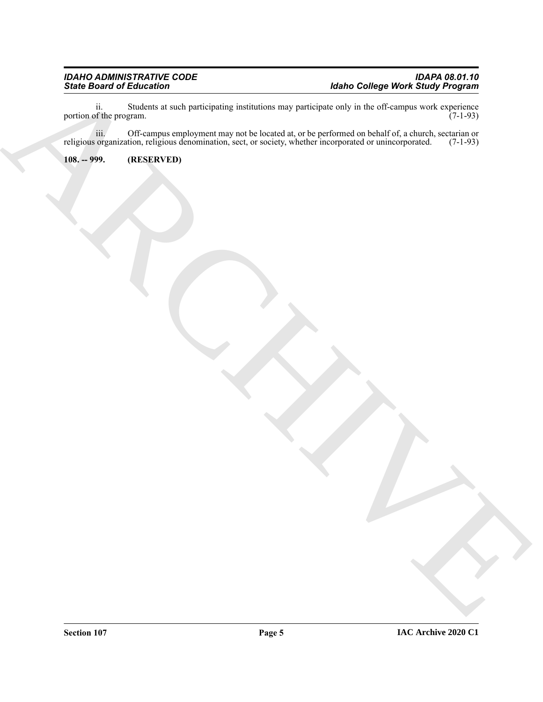Since Dealer of Education Controllers, and the Universe of School of the Universe and School of the Universe of the Universe and School of the Universe and School of the Universe and School of the Universe and School of th ii. Students at such participating institutions may participate only in the off-campus work experience of the program. (7-1-93) portion of the program.

iii. Off-campus employment may not be located at, or be performed on behalf of, a church, sectarian or religious organization, religious denomination, sect, or society, whether incorporated or unincorporated. (7-1-93)

<span id="page-4-0"></span>**108. -- 999. (RESERVED)**